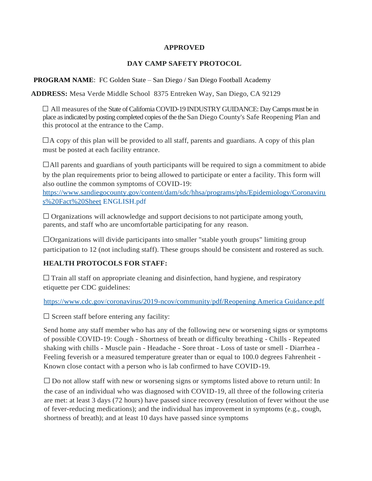#### **APPROVED**

#### **DAY CAMP SAFETY PROTOCOL**

**PROGRAM NAME**: FC Golden State – San Diego / San Diego Football Academy

**ADDRESS:** Mesa Verde Middle School 8375 Entreken Way, San Diego, CA 92129

 $\Box$  All measures of the State of California COVID-19 INDUSTRY GUIDANCE: Day Camps must be in place as indicated by posting completed copies of the the San Diego County's Safe Reopening Plan and this protocol at the entrance to the Camp.

 $\Box$  A copy of this plan will be provided to all staff, parents and guardians. A copy of this plan must be posted at each facility entrance.

 $\Box$ All parents and guardians of youth participants will be required to sign a commitment to abide by the plan requirements prior to being allowed to participate or enter a facility. This form will also outline the common symptoms of COVID-19:

[https://www.sandiegocounty.gov/content/dam/sdc/hhsa/programs/phs/Epidemiology/Coronaviru](http://www.sandiegocounty.gov/content/dam/sdc/hhsa/programs/phs/Epidemiology/Coronaviru) s%20Fact%20Sheet ENGLISH.pdf

 $\Box$  Organizations will acknowledge and support decisions to not participate among youth, parents, and staff who are uncomfortable participating for any reason.

□Organizations will divide participants into smaller "stable youth groups" limiting group participation to 12 (not including staff). These groups should be consistent and rostered as such.

### **HEALTH PROTOCOLS FOR STAFF:**

 $\Box$  Train all staff on appropriate cleaning and disinfection, hand hygiene, and respiratory etiquette per CDC guidelines:

https:/[/www.cdc.gov/coronavirus/2019-ncov/community/pdf/Reopening America Guidance.pdf](http://www.cdc.gov/coronavirus/2019-ncov/community/pdf/ReopeningAmericaGuidance.pdf)

 $\square$  Screen staff before entering any facility:

Send home any staff member who has any of the following new or worsening signs or symptoms of possible COVID-19: Cough - Shortness of breath or difficulty breathing - Chills - Repeated shaking with chills - Muscle pain - Headache - Sore throat - Loss of taste or smell - Diarrhea - Feeling feverish or a measured temperature greater than or equal to 100.0 degrees Fahrenheit - Known close contact with a person who is lab confirmed to have COVID-19.

 $\square$  Do not allow staff with new or worsening signs or symptoms listed above to return until: In the case of an individual who was diagnosed with COVID-19, all three of the following criteria are met: at least 3 days (72 hours) have passed since recovery (resolution of fever without the use of fever-reducing medications); and the individual has improvement in symptoms (e.g., cough, shortness of breath); and at least 10 days have passed since symptoms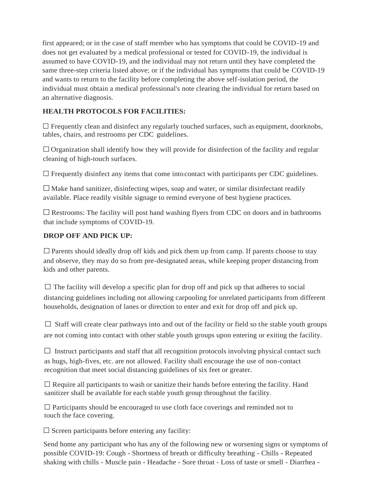first appeared; or in the case of staff member who has symptoms that could be COVID-19 and does not get evaluated by a medical professional or tested for COVID-19, the individual is assumed to have COVID-19, and the individual may not return until they have completed the same three-step criteria listed above; or if the individual has symptoms that could be COVID-19 and wants to return to the facility before completing the above self-isolation period, the individual must obtain a medical professional's note clearing the individual for return based on an alternative diagnosis.

# **HEALTH PROTOCOLS FOR FACILITIES:**

 $\Box$  Frequently clean and disinfect any regularly touched surfaces, such as equipment, doorknobs, tables, chairs, and restrooms per CDC guidelines.

 $\Box$  Organization shall identify how they will provide for disinfection of the facility and regular cleaning of high-touch surfaces.

 $\Box$  Frequently disinfect any items that come into contact with participants per CDC guidelines.

 $\square$  Make hand sanitizer, disinfecting wipes, soap and water, or similar disinfectant readily available. Place readily visible signage to remind everyone of best hygiene practices.

 $\square$  Restrooms: The facility will post hand washing flyers from CDC on doors and in bathrooms that include symptoms of COVID-19.

### **DROP OFF AND PICK UP:**

 $\square$  Parents should ideally drop off kids and pick them up from camp. If parents choose to stay and observe, they may do so from pre-designated areas, while keeping proper distancing from kids and other parents.

 $\square$  The facility will develop a specific plan for drop off and pick up that adheres to social distancing guidelines including not allowing carpooling for unrelated participants from different households, designation of lanes or direction to enter and exit for drop off and pick up.

 $\Box$  Staff will create clear pathways into and out of the facility or field so the stable youth groups are not coming into contact with other stable youth groups upon entering or exiting the facility.

 $\Box$  Instruct participants and staff that all recognition protocols involving physical contact such as hugs, high-fives, etc. are not allowed. Facility shall encourage the use of non-contact recognition that meet social distancing guidelines of six feet or greater.

 $\Box$  Require all participants to wash or sanitize their hands before entering the facility. Hand sanitizer shall be available for each stable youth group throughout the facility.

 $\square$  Participants should be encouraged to use cloth face coverings and reminded not to touch the face covering.

 $\square$  Screen participants before entering any facility:

Send home any participant who has any of the following new or worsening signs or symptoms of possible COVID-19: Cough - Shortness of breath or difficulty breathing - Chills - Repeated shaking with chills - Muscle pain - Headache - Sore throat - Loss of taste or smell - Diarrhea -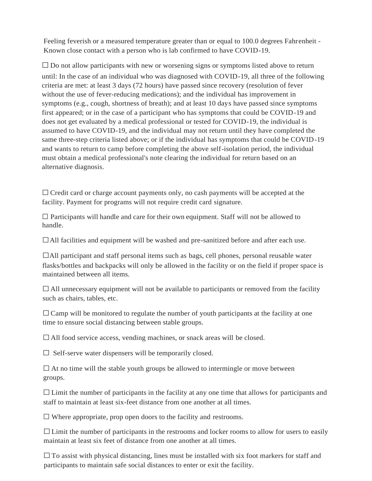Feeling feverish or a measured temperature greater than or equal to 100.0 degrees Fahrenheit - Known close contact with a person who is lab confirmed to have COVID-19.

 $\square$  Do not allow participants with new or worsening signs or symptoms listed above to return until: In the case of an individual who was diagnosed with COVID-19, all three of the following criteria are met: at least 3 days (72 hours) have passed since recovery (resolution of fever without the use of fever-reducing medications); and the individual has improvement in symptoms (e.g., cough, shortness of breath); and at least 10 days have passed since symptoms first appeared; or in the case of a participant who has symptoms that could be COVID-19 and does not get evaluated by a medical professional or tested for COVID-19, the individual is assumed to have COVID-19, and the individual may not return until they have completed the same three-step criteria listed above; or if the individual has symptoms that could be COVID-19 and wants to return to camp before completing the above self-isolation period, the individual must obtain a medical professional's note clearing the individual for return based on an alternative diagnosis.

 $\Box$  Credit card or charge account payments only, no cash payments will be accepted at the facility. Payment for programs will not require credit card signature.

 $\square$  Participants will handle and care for their own equipment. Staff will not be allowed to handle.

□All facilities and equipment will be washed and pre-sanitized before and after each use.

 $\Box$ All participant and staff personal items such as bags, cell phones, personal reusable water flasks/bottles and backpacks will only be allowed in the facility or on the field if proper space is maintained between all items.

 $\Box$  All unnecessary equipment will not be available to participants or removed from the facility such as chairs, tables, etc.

 $\Box$  Camp will be monitored to regulate the number of youth participants at the facility at one time to ensure social distancing between stable groups.

 $\Box$  All food service access, vending machines, or snack areas will be closed.

 $\Box$  Self-serve water dispensers will be temporarily closed.

 $\square$  At no time will the stable youth groups be allowed to intermingle or move between groups.

 $\Box$  Limit the number of participants in the facility at any one time that allows for participants and staff to maintain at least six-feet distance from one another at all times.

 $\square$  Where appropriate, prop open doors to the facility and restrooms.

 $\Box$  Limit the number of participants in the restrooms and locker rooms to allow for users to easily maintain at least six feet of distance from one another at all times.

 $\square$  To assist with physical distancing, lines must be installed with six foot markers for staff and participants to maintain safe social distances to enter or exit the facility.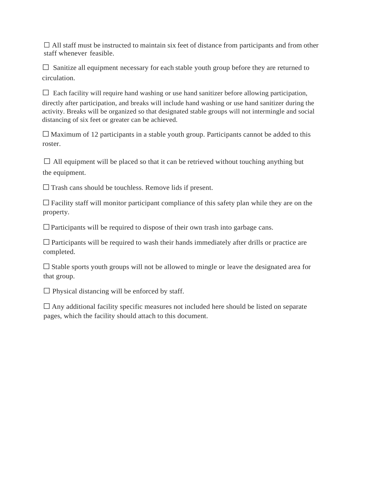$\Box$  All staff must be instructed to maintain six feet of distance from participants and from other staff whenever feasible.

 $\Box$  Sanitize all equipment necessary for each stable youth group before they are returned to circulation.

 $\Box$  Each facility will require hand washing or use hand sanitizer before allowing participation, directly after participation, and breaks will include hand washing or use hand sanitizer during the activity. Breaks will be organized so that designated stable groups will not intermingle and social distancing of six feet or greater can be achieved.

 $\Box$  Maximum of 12 participants in a stable youth group. Participants cannot be added to this roster.

 $\Box$  All equipment will be placed so that it can be retrieved without touching anything but the equipment.

 $\square$  Trash cans should be touchless. Remove lids if present.

 $\Box$  Facility staff will monitor participant compliance of this safety plan while they are on the property.

 $\Box$  Participants will be required to dispose of their own trash into garbage cans.

 $\square$  Participants will be required to wash their hands immediately after drills or practice are completed.

 $\square$  Stable sports youth groups will not be allowed to mingle or leave the designated area for that group.

 $\square$  Physical distancing will be enforced by staff.

 $\Box$  Any additional facility specific measures not included here should be listed on separate pages, which the facility should attach to this document.